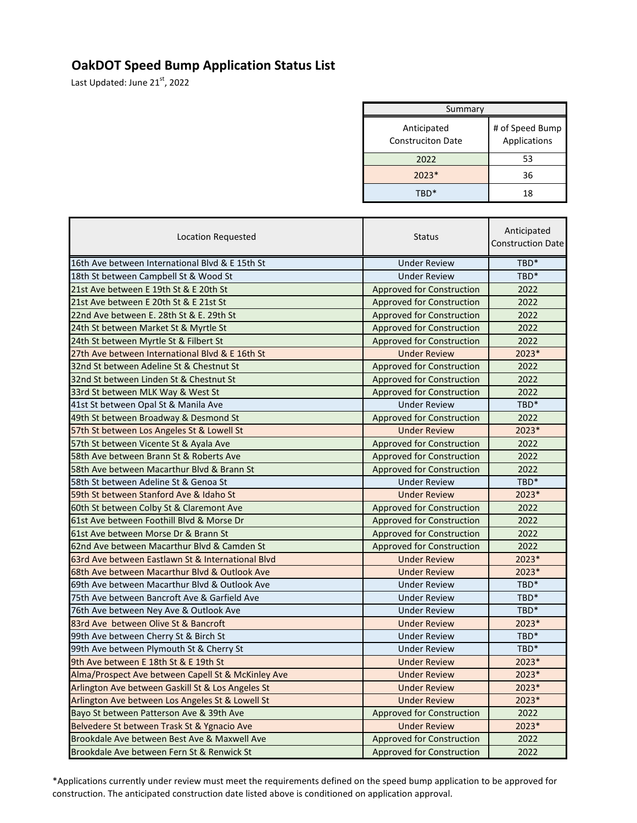## **OakDOT Speed Bump Application Status List**

Last Updated: June 21st, 2022

| Summary                                 |                                 |  |
|-----------------------------------------|---------------------------------|--|
| Anticipated<br><b>Construciton Date</b> | # of Speed Bump<br>Applications |  |
| 2022                                    | 53                              |  |
| $2023*$                                 | 36                              |  |
|                                         | 18                              |  |

| Location Requested                                 | <b>Status</b>                    | Anticipated<br><b>Construction Date</b> |
|----------------------------------------------------|----------------------------------|-----------------------------------------|
| 16th Ave between International Blvd & E 15th St    | <b>Under Review</b>              | TBD*                                    |
| 18th St between Campbell St & Wood St              | <b>Under Review</b>              | TBD <sup>*</sup>                        |
| 21st Ave between E 19th St & E 20th St             | Approved for Construction        | 2022                                    |
| 21st Ave between E 20th St & E 21st St             | <b>Approved for Construction</b> | 2022                                    |
| 22nd Ave between E. 28th St & E. 29th St           | <b>Approved for Construction</b> | 2022                                    |
| 24th St between Market St & Myrtle St              | Approved for Construction        | 2022                                    |
| 24th St between Myrtle St & Filbert St             | Approved for Construction        | 2022                                    |
| 27th Ave between International Blvd & E 16th St    | <b>Under Review</b>              | 2023*                                   |
| 32nd St between Adeline St & Chestnut St           | Approved for Construction        | 2022                                    |
| 32nd St between Linden St & Chestnut St            | <b>Approved for Construction</b> | 2022                                    |
| 33rd St between MLK Way & West St                  | <b>Approved for Construction</b> | 2022                                    |
| 41st St between Opal St & Manila Ave               | <b>Under Review</b>              | TBD*                                    |
| 49th St between Broadway & Desmond St              | Approved for Construction        | 2022                                    |
| 57th St between Los Angeles St & Lowell St         | <b>Under Review</b>              | 2023*                                   |
| 57th St between Vicente St & Ayala Ave             | Approved for Construction        | 2022                                    |
| 58th Ave between Brann St & Roberts Ave            | Approved for Construction        | 2022                                    |
| 58th Ave between Macarthur Blvd & Brann St         | <b>Approved for Construction</b> | 2022                                    |
| 58th St between Adeline St & Genoa St              | <b>Under Review</b>              | TBD*                                    |
| 59th St between Stanford Ave & Idaho St            | <b>Under Review</b>              | 2023*                                   |
| 60th St between Colby St & Claremont Ave           | Approved for Construction        | 2022                                    |
| 61st Ave between Foothill Blyd & Morse Dr          | Approved for Construction        | 2022                                    |
| 61st Ave between Morse Dr & Brann St               | Approved for Construction        | 2022                                    |
| 62nd Ave between Macarthur Blvd & Camden St        | Approved for Construction        | 2022                                    |
| 63rd Ave between Eastlawn St & International Blyd  | <b>Under Review</b>              | 2023*                                   |
| 68th Ave between Macarthur Blvd & Outlook Ave      | <b>Under Review</b>              | 2023*                                   |
| 69th Ave between Macarthur Blyd & Outlook Ave      | <b>Under Review</b>              | TBD <sup>*</sup>                        |
| 75th Ave between Bancroft Ave & Garfield Ave       | <b>Under Review</b>              | TBD*                                    |
| 76th Ave between Ney Ave & Outlook Ave             | <b>Under Review</b>              | TBD*                                    |
| 83rd Ave between Olive St & Bancroft               | <b>Under Review</b>              | 2023*                                   |
| 99th Ave between Cherry St & Birch St              | <b>Under Review</b>              | TBD*                                    |
| 99th Ave between Plymouth St & Cherry St           | <b>Under Review</b>              | TBD*                                    |
| 9th Ave between E 18th St & E 19th St              | <b>Under Review</b>              | 2023*                                   |
| Alma/Prospect Ave between Capell St & McKinley Ave | <b>Under Review</b>              | 2023*                                   |
| Arlington Ave between Gaskill St & Los Angeles St  | <b>Under Review</b>              | 2023*                                   |
| Arlington Ave between Los Angeles St & Lowell St   | <b>Under Review</b>              | 2023*                                   |
| Bayo St between Patterson Ave & 39th Ave           | Approved for Construction        | 2022                                    |
| Belvedere St between Trask St & Ygnacio Ave        | <b>Under Review</b>              | 2023*                                   |
| Brookdale Ave between Best Ave & Maxwell Ave       | Approved for Construction        | 2022                                    |
| Brookdale Ave between Fern St & Renwick St         | Approved for Construction        | 2022                                    |

\*Applications currently under review must meet the requirements defined on the speed bump application to be approved for construction. The anticipated construction date listed above is conditioned on application approval.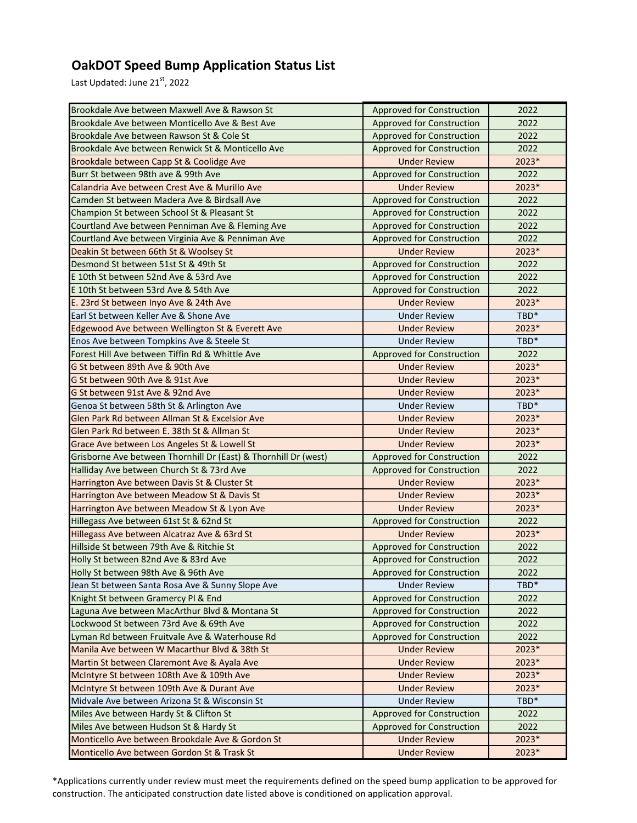## **OakDOT Speed Bump Application Status List**

Last Updated: June 21st, 2022

| Brookdale Ave between Maxwell Ave & Rawson St                   | <b>Approved for Construction</b> | 2022             |
|-----------------------------------------------------------------|----------------------------------|------------------|
| Brookdale Ave between Monticello Ave & Best Ave                 | <b>Approved for Construction</b> | 2022             |
| Brookdale Ave between Rawson St & Cole St                       | <b>Approved for Construction</b> | 2022             |
| Brookdale Ave between Renwick St & Monticello Ave               | <b>Approved for Construction</b> | 2022             |
| Brookdale between Capp St & Coolidge Ave                        | <b>Under Review</b>              | 2023*            |
| Burr St between 98th ave & 99th Ave                             | <b>Approved for Construction</b> | 2022             |
| Calandria Ave between Crest Ave & Murillo Ave                   | <b>Under Review</b>              | 2023*            |
| Camden St between Madera Ave & Birdsall Ave                     | <b>Approved for Construction</b> | 2022             |
| Champion St between School St & Pleasant St                     | <b>Approved for Construction</b> | 2022             |
| Courtland Ave between Penniman Ave & Fleming Ave                | <b>Approved for Construction</b> | 2022             |
| Courtland Ave between Virginia Ave & Penniman Ave               | <b>Approved for Construction</b> | 2022             |
| Deakin St between 66th St & Woolsey St                          | <b>Under Review</b>              | 2023*            |
| Desmond St between 51st St & 49th St                            | Approved for Construction        | 2022             |
| E 10th St between 52nd Ave & 53rd Ave                           | <b>Approved for Construction</b> | 2022             |
| E 10th St between 53rd Ave & 54th Ave                           | <b>Approved for Construction</b> | 2022             |
| E. 23rd St between Inyo Ave & 24th Ave                          | <b>Under Review</b>              | 2023*            |
| Earl St between Keller Ave & Shone Ave                          | <b>Under Review</b>              | TBD <sup>*</sup> |
| Edgewood Ave between Wellington St & Everett Ave                | <b>Under Review</b>              | 2023*            |
| Enos Ave between Tompkins Ave & Steele St                       | <b>Under Review</b>              | TBD*             |
| Forest Hill Ave between Tiffin Rd & Whittle Ave                 | <b>Approved for Construction</b> | 2022             |
| G St between 89th Ave & 90th Ave                                | <b>Under Review</b>              | 2023*            |
| G St between 90th Ave & 91st Ave                                | <b>Under Review</b>              | 2023*            |
| G St between 91st Ave & 92nd Ave                                | <b>Under Review</b>              | 2023*            |
| Genoa St between 58th St & Arlington Ave                        | <b>Under Review</b>              | TBD <sup>*</sup> |
| Glen Park Rd between Allman St & Excelsior Ave                  | <b>Under Review</b>              | 2023*            |
| Glen Park Rd between E. 38th St & Allman St                     | <b>Under Review</b>              | 2023*            |
| Grace Ave between Los Angeles St & Lowell St                    | <b>Under Review</b>              | 2023*            |
| Grisborne Ave between Thornhill Dr (East) & Thornhill Dr (west) | Approved for Construction        | 2022             |
| Halliday Ave between Church St & 73rd Ave                       | <b>Approved for Construction</b> | 2022             |
| Harrington Ave between Davis St & Cluster St                    | <b>Under Review</b>              | 2023*            |
| Harrington Ave between Meadow St & Davis St                     | <b>Under Review</b>              | $2023*$          |
| Harrington Ave between Meadow St & Lyon Ave                     | <b>Under Review</b>              | 2023*            |
| Hillegass Ave between 61st St & 62nd St                         | <b>Approved for Construction</b> | 2022             |
| Hillegass Ave between Alcatraz Ave & 63rd St                    | <b>Under Review</b>              | 2023*            |
| Hillside St between 79th Ave & Ritchie St                       | <b>Approved for Construction</b> | 2022             |
| Holly St between 82nd Ave & 83rd Ave                            | <b>Approved for Construction</b> | 2022             |
| Holly St between 98th Ave & 96th Ave                            | <b>Approved for Construction</b> | 2022             |
| Jean St between Santa Rosa Ave & Sunny Slope Ave                | <b>Under Review</b>              | TBD*             |
| Knight St between Gramercy PI & End                             | <b>Approved for Construction</b> | 2022             |
| Laguna Ave between MacArthur Blvd & Montana St                  | Approved for Construction        | 2022             |
| Lockwood St between 73rd Ave & 69th Ave                         | <b>Approved for Construction</b> | 2022             |
| Lyman Rd between Fruitvale Ave & Waterhouse Rd                  | Approved for Construction        | 2022             |
| Manila Ave between W Macarthur Blvd & 38th St                   | <b>Under Review</b>              | 2023*            |
| Martin St between Claremont Ave & Ayala Ave                     | <b>Under Review</b>              | 2023*            |
| McIntyre St between 108th Ave & 109th Ave                       | <b>Under Review</b>              | 2023*            |
| McIntyre St between 109th Ave & Durant Ave                      | <b>Under Review</b>              | 2023*            |
| Midvale Ave between Arizona St & Wisconsin St                   | <b>Under Review</b>              | TBD <sup>*</sup> |
| Miles Ave between Hardy St & Clifton St                         | <b>Approved for Construction</b> | 2022             |
| Miles Ave between Hudson St & Hardy St                          | <b>Approved for Construction</b> | 2022             |
| Monticello Ave between Brookdale Ave & Gordon St                | <b>Under Review</b>              | $2023*$          |
| Monticello Ave between Gordon St & Trask St                     | <b>Under Review</b>              | $2023*$          |
|                                                                 |                                  |                  |

\*Applications currently under review must meet the requirements defined on the speed bump application to be approved for construction. The anticipated construction date listed above is conditioned on application approval.